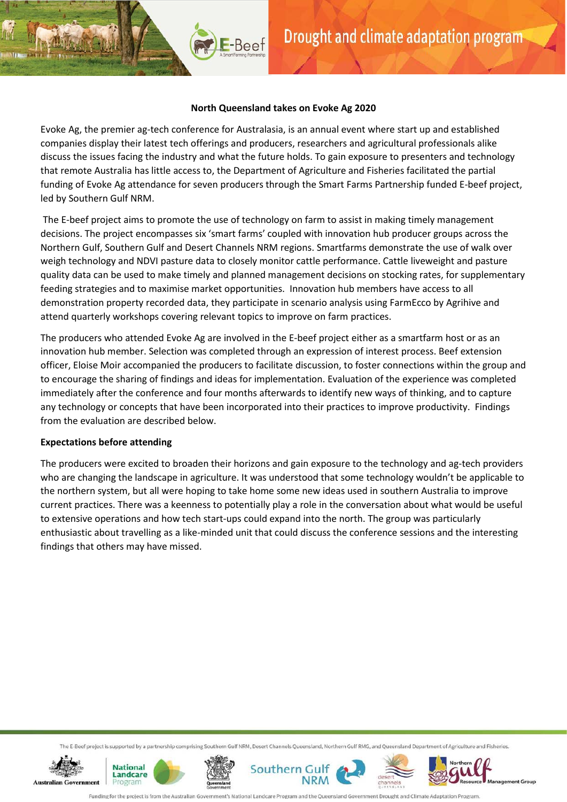### **North Queensland takes on Evoke Ag 2020**

E-Beef

Evoke Ag, the premier ag-tech conference for Australasia, is an annual event where start up and established companies display their latest tech offerings and producers, researchers and agricultural professionals alike discuss the issues facing the industry and what the future holds. To gain exposure to presenters and technology that remote Australia has little access to, the Department of Agriculture and Fisheries facilitated the partial funding of Evoke Ag attendance for seven producers through the Smart Farms Partnership funded E-beef project, led by Southern Gulf NRM.

The E-beef project aims to promote the use of technology on farm to assist in making timely management decisions. The project encompasses six 'smart farms' coupled with innovation hub producer groups across the Northern Gulf, Southern Gulf and Desert Channels NRM regions. Smartfarms demonstrate the use of walk over weigh technology and NDVI pasture data to closely monitor cattle performance. Cattle liveweight and pasture quality data can be used to make timely and planned management decisions on stocking rates, for supplementary feeding strategies and to maximise market opportunities. Innovation hub members have access to all demonstration property recorded data, they participate in scenario analysis using FarmEcco by Agrihive and attend quarterly workshops covering relevant topics to improve on farm practices.

The producers who attended Evoke Ag are involved in the E-beef project either as a smartfarm host or as an innovation hub member. Selection was completed through an expression of interest process. Beef extension officer, Eloise Moir accompanied the producers to facilitate discussion, to foster connections within the group and to encourage the sharing of findings and ideas for implementation. Evaluation of the experience was completed immediately after the conference and four months afterwards to identify new ways of thinking, and to capture any technology or concepts that have been incorporated into their practices to improve productivity. Findings from the evaluation are described below.

# **Expectations before attending**

The producers were excited to broaden their horizons and gain exposure to the technology and ag-tech providers who are changing the landscape in agriculture. It was understood that some technology wouldn't be applicable to the northern system, but all were hoping to take home some new ideas used in southern Australia to improve current practices. There was a keenness to potentially play a role in the conversation about what would be useful to extensive operations and how tech start-ups could expand into the north. The group was particularly enthusiastic about travelling as a like-minded unit that could discuss the conference sessions and the interesting findings that others may have missed.

The E-Beef project is supported by a partnership comprising Southern Gulf NRM, Desert Channels Queensland, Northern Gulf RMG, and Queensland Department of Agriculture and Fisheries.











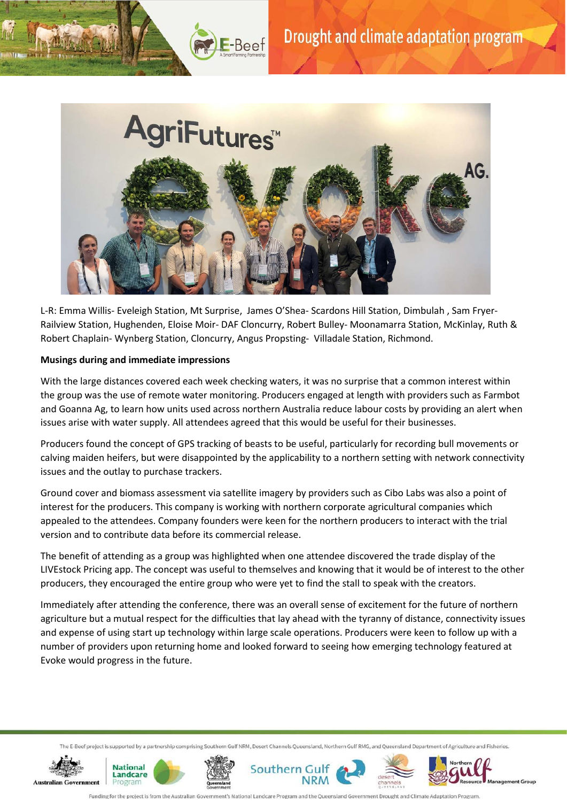

L-R: Emma Willis- Eveleigh Station, Mt Surprise, James O'Shea- Scardons Hill Station, Dimbulah , Sam Fryer-Railview Station, Hughenden, Eloise Moir- DAF Cloncurry, Robert Bulley- Moonamarra Station, McKinlay, Ruth & Robert Chaplain- Wynberg Station, Cloncurry, Angus Propsting- Villadale Station, Richmond.

# **Musings during and immediate impressions**

With the large distances covered each week checking waters, it was no surprise that a common interest within the group was the use of remote water monitoring. Producers engaged at length with providers such as Farmbot and Goanna Ag, to learn how units used across northern Australia reduce labour costs by providing an alert when issues arise with water supply. All attendees agreed that this would be useful for their businesses.

Producers found the concept of GPS tracking of beasts to be useful, particularly for recording bull movements or calving maiden heifers, but were disappointed by the applicability to a northern setting with network connectivity issues and the outlay to purchase trackers.

Ground cover and biomass assessment via satellite imagery by providers such as Cibo Labs was also a point of interest for the producers. This company is working with northern corporate agricultural companies which appealed to the attendees. Company founders were keen for the northern producers to interact with the trial version and to contribute data before its commercial release.

The benefit of attending as a group was highlighted when one attendee discovered the trade display of the LIVEstock Pricing app. The concept was useful to themselves and knowing that it would be of interest to the other producers, they encouraged the entire group who were yet to find the stall to speak with the creators.

Immediately after attending the conference, there was an overall sense of excitement for the future of northern agriculture but a mutual respect for the difficulties that lay ahead with the tyranny of distance, connectivity issues and expense of using start up technology within large scale operations. Producers were keen to follow up with a number of providers upon returning home and looked forward to seeing how emerging technology featured at Evoke would progress in the future.

The E-Beef project is supported by a partnership comprising Southern Gulf NRM, Desert Channels Queensland, Northern Gulf RMG, and Queensland Department of Agriculture and Fisheries.













ig for the project is from the Au stralian Go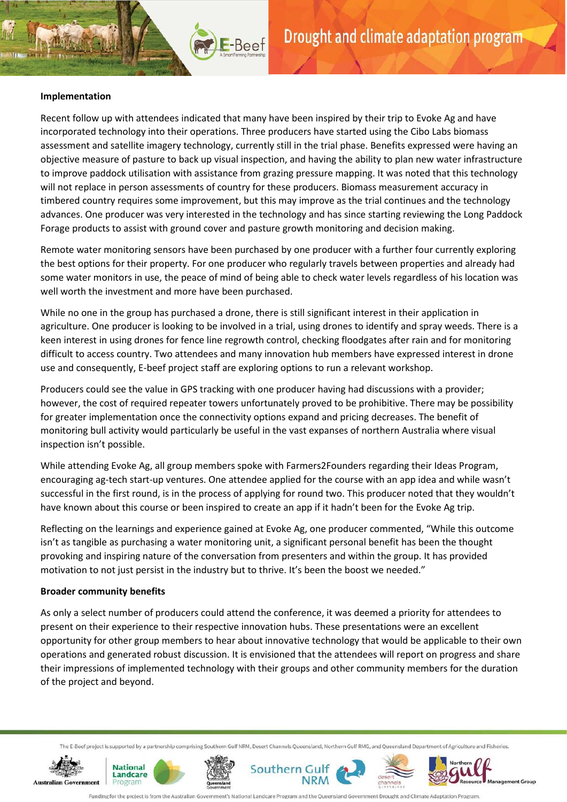# **Implementation**

Recent follow up with attendees indicated that many have been inspired by their trip to Evoke Ag and have incorporated technology into their operations. Three producers have started using the Cibo Labs biomass assessment and satellite imagery technology, currently still in the trial phase. Benefits expressed were having an objective measure of pasture to back up visual inspection, and having the ability to plan new water infrastructure to improve paddock utilisation with assistance from grazing pressure mapping. It was noted that this technology will not replace in person assessments of country for these producers. Biomass measurement accuracy in timbered country requires some improvement, but this may improve as the trial continues and the technology advances. One producer was very interested in the technology and has since starting reviewing the Long Paddock Forage products to assist with ground cover and pasture growth monitoring and decision making.

E-Beef

Remote water monitoring sensors have been purchased by one producer with a further four currently exploring the best options for their property. For one producer who regularly travels between properties and already had some water monitors in use, the peace of mind of being able to check water levels regardless of his location was well worth the investment and more have been purchased.

While no one in the group has purchased a drone, there is still significant interest in their application in agriculture. One producer is looking to be involved in a trial, using drones to identify and spray weeds. There is a keen interest in using drones for fence line regrowth control, checking floodgates after rain and for monitoring difficult to access country. Two attendees and many innovation hub members have expressed interest in drone use and consequently, E-beef project staff are exploring options to run a relevant workshop.

Producers could see the value in GPS tracking with one producer having had discussions with a provider; however, the cost of required repeater towers unfortunately proved to be prohibitive. There may be possibility for greater implementation once the connectivity options expand and pricing decreases. The benefit of monitoring bull activity would particularly be useful in the vast expanses of northern Australia where visual inspection isn't possible.

While attending Evoke Ag, all group members spoke with Farmers2Founders regarding their Ideas Program, encouraging ag-tech start-up ventures. One attendee applied for the course with an app idea and while wasn't successful in the first round, is in the process of applying for round two. This producer noted that they wouldn't have known about this course or been inspired to create an app if it hadn't been for the Evoke Ag trip.

Reflecting on the learnings and experience gained at Evoke Ag, one producer commented, "While this outcome isn't as tangible as purchasing a water monitoring unit, a significant personal benefit has been the thought provoking and inspiring nature of the conversation from presenters and within the group. It has provided motivation to not just persist in the industry but to thrive. It's been the boost we needed."

#### **Broader community benefits**

As only a select number of producers could attend the conference, it was deemed a priority for attendees to present on their experience to their respective innovation hubs. These presentations were an excellent opportunity for other group members to hear about innovative technology that would be applicable to their own operations and generated robust discussion. It is envisioned that the attendees will report on progress and share their impressions of implemented technology with their groups and other community members for the duration of the project and beyond.

The E-Beef project is supported by a partnership comprising Southern Gulf NRM, Desert Channels Queensland, Northern Gulf RMG, and Queensland Department of Agriculture and Fisheries.